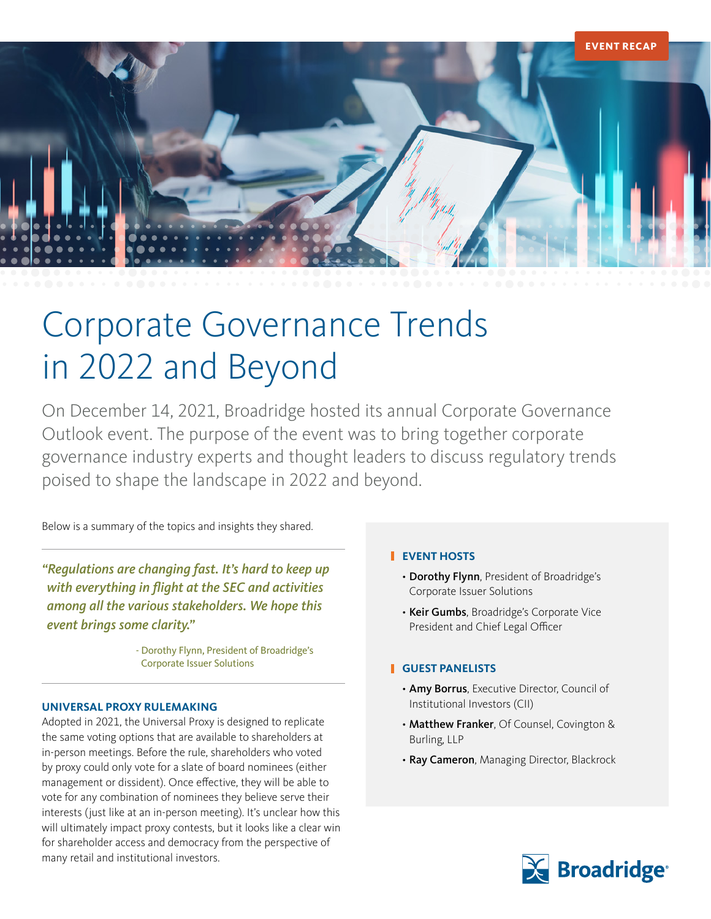

# Corporate Governance Trends in 2022 and Beyond

On December 14, 2021, Broadridge hosted its annual Corporate Governance Outlook event. The purpose of the event was to bring together corporate governance industry experts and thought leaders to discuss regulatory trends poised to shape the landscape in 2022 and beyond.

Below is a summary of the topics and insights they shared.

*"Regulations are changing fast. It's hard to keep up*  with everything in flight at the SEC and activities *among all the various stakeholders. We hope this event brings some clarity."*

> - Dorothy Flynn, President of Broadridge's Corporate Issuer Solutions

#### **UNIVERSAL PROXY RULEMAKING**

Adopted in 2021, the Universal Proxy is designed to replicate the same voting options that are available to shareholders at in-person meetings. Before the rule, shareholders who voted by proxy could only vote for a slate of board nominees (either management or dissident). Once effective, they will be able to vote for any combination of nominees they believe serve their interests (just like at an in-person meeting). It's unclear how this will ultimately impact proxy contests, but it looks like a clear win for shareholder access and democracy from the perspective of many retail and institutional investors.

# **EVENT HOSTS**

- Dorothy Flynn, President of Broadridge's Corporate Issuer Solutions
- Keir Gumbs, Broadridge's Corporate Vice President and Chief Legal Officer

# **GUEST PANELISTS**

- Amy Borrus, Executive Director, Council of Institutional Investors (CII)
- Matthew Franker, Of Counsel, Covington & Burling, LLP
- Ray Cameron, Managing Director, Blackrock

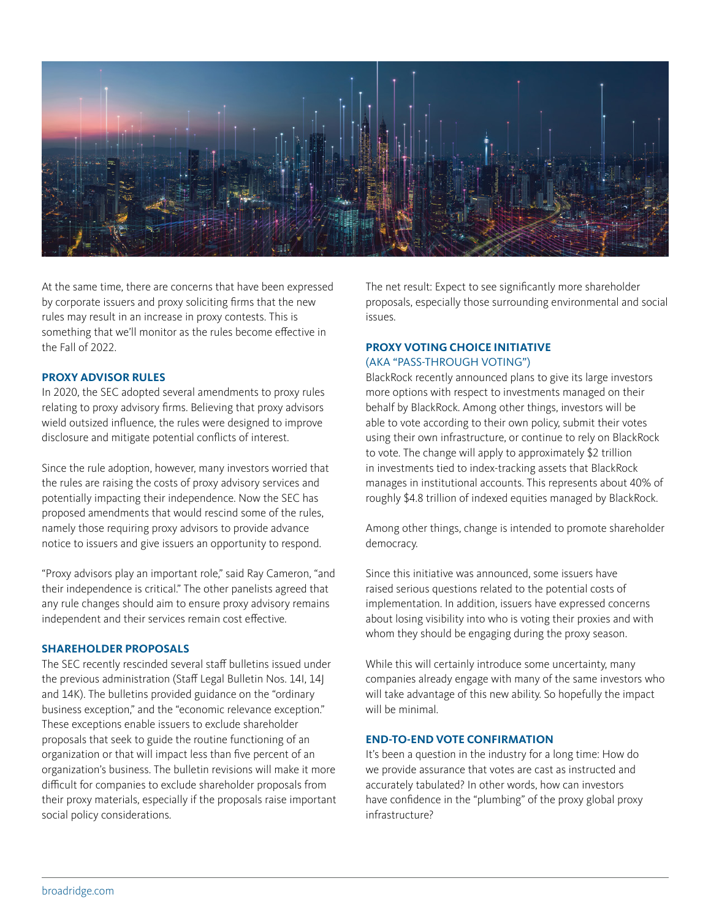

At the same time, there are concerns that have been expressed by corporate issuers and proxy soliciting firms that the new rules may result in an increase in proxy contests. This is something that we'll monitor as the rules become effective in the Fall of 2022.

#### **PROXY ADVISOR RULES**

In 2020, the SEC adopted several amendments to proxy rules relating to proxy advisory firms. Believing that proxy advisors wield outsized influence, the rules were designed to improve disclosure and mitigate potential conflicts of interest.

Since the rule adoption, however, many investors worried that the rules are raising the costs of proxy advisory services and potentially impacting their independence. Now the SEC has proposed amendments that would rescind some of the rules, namely those requiring proxy advisors to provide advance notice to issuers and give issuers an opportunity to respond.

"Proxy advisors play an important role," said Ray Cameron, "and their independence is critical." The other panelists agreed that any rule changes should aim to ensure proxy advisory remains independent and their services remain cost effective.

#### **SHAREHOLDER PROPOSALS**

The SEC recently rescinded several staff bulletins issued under the previous administration (Staff Legal Bulletin Nos. 14I, 14J and 14K). The bulletins provided guidance on the "ordinary business exception," and the "economic relevance exception." These exceptions enable issuers to exclude shareholder proposals that seek to guide the routine functioning of an organization or that will impact less than five percent of an organization's business. The bulletin revisions will make it more difficult for companies to exclude shareholder proposals from their proxy materials, especially if the proposals raise important social policy considerations.

The net result: Expect to see significantly more shareholder proposals, especially those surrounding environmental and social issues.

# **PROXY VOTING CHOICE INITIATIVE**

#### (AKA "PASS-THROUGH VOTING")

BlackRock recently announced plans to give its large investors more options with respect to investments managed on their behalf by BlackRock. Among other things, investors will be able to vote according to their own policy, submit their votes using their own infrastructure, or continue to rely on BlackRock to vote. The change will apply to approximately \$2 trillion in investments tied to index-tracking assets that BlackRock manages in institutional accounts. This represents about 40% of roughly \$4.8 trillion of indexed equities managed by BlackRock.

Among other things, change is intended to promote shareholder democracy.

Since this initiative was announced, some issuers have raised serious questions related to the potential costs of implementation. In addition, issuers have expressed concerns about losing visibility into who is voting their proxies and with whom they should be engaging during the proxy season.

While this will certainly introduce some uncertainty, many companies already engage with many of the same investors who will take advantage of this new ability. So hopefully the impact will be minimal

#### **END-TO-END VOTE CONFIRMATION**

It's been a question in the industry for a long time: How do we provide assurance that votes are cast as instructed and accurately tabulated? In other words, how can investors have confidence in the "plumbing" of the proxy global proxy infrastructure?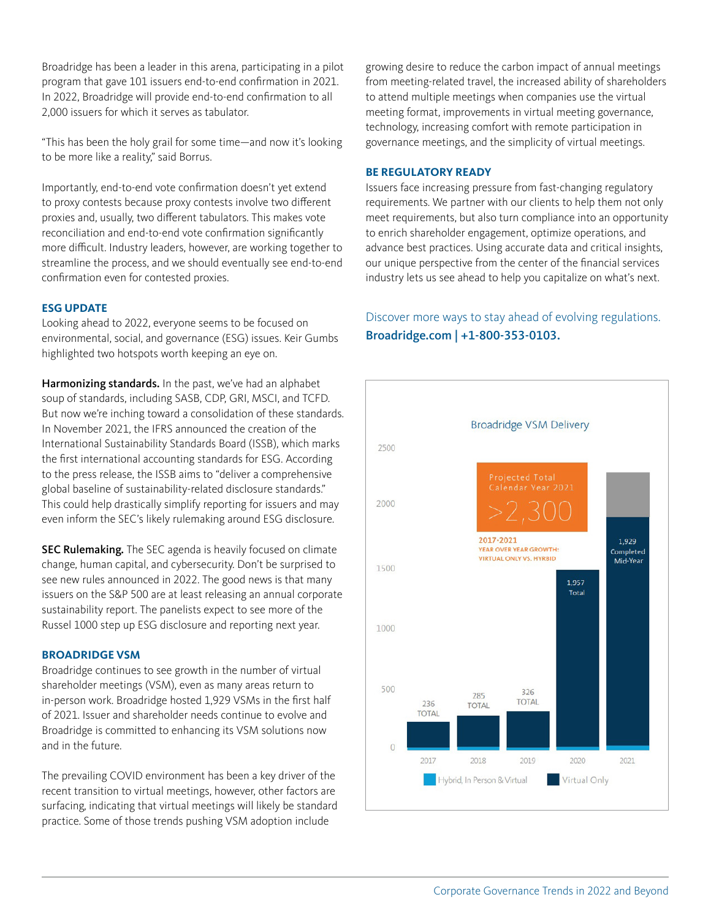Broadridge has been a leader in this arena, participating in a pilot program that gave 101 issuers end-to-end confirmation in 2021. In 2022, Broadridge will provide end-to-end confirmation to all 2,000 issuers for which it serves as tabulator.

"This has been the holy grail for some time—and now it's looking to be more like a reality," said Borrus.

Importantly, end-to-end vote confirmation doesn't yet extend to proxy contests because proxy contests involve two different proxies and, usually, two different tabulators. This makes vote reconciliation and end-to-end vote confirmation significantly more difficult. Industry leaders, however, are working together to streamline the process, and we should eventually see end-to-end confirmation even for contested proxies.

# **ESG UPDATE**

Looking ahead to 2022, everyone seems to be focused on environmental, social, and governance (ESG) issues. Keir Gumbs highlighted two hotspots worth keeping an eye on.

But now we re incning toward a consolidation of these stand<br>In November 2021, the IFRS announced the creation of the to the press release, the ISSB aims to "deliver a comprehensive global baseline of sustainability-related disclosure standards." This could help drastically simplify reporting for issuers and may even inform the SEC's likely rulemaking around ESG disclosure. Harmonizing standards. In the past, we've had an alphabet soup of standards, including SASB, CDP, GRI, MSCI, and TCFD. But now we're inching toward a consolidation of these standards. International Sustainability Standards Board (ISSB), which marks the first international accounting standards for ESG. According

change, human capital, and cybersecurity. Don't be surprised to see new rules announced in 2022. The good news is that many issuers on the S&P 500 are at least releasing an annual corporate sustainability report. The panelists expect to see more of the Russel 1000 step up ESG disclosure and reporting next year. SEC Rulemaking. The SEC agenda is heavily focused on climate

# **BROADRIDGE VSM**

Broadridge continues to see growth in the number of virtual shareholder meetings (VSM), even as many areas return to in-person work. Broadridge hosted 1,929 VSMs in the first half of 2021. Issuer and shareholder needs continue to evolve and Broadridge is committed to enhancing its VSM solutions now and in the future.

practice. Some of those trends pushing VSM adoption include  $\blacksquare$ The prevailing COVID environment has been a key driver of the recent transition to virtual meetings, however, other factors are surfacing, indicating that virtual meetings will likely be standard

growing desire to reduce the carbon impact of annual meetings from meeting-related travel, the increased ability of shareholders to attend multiple meetings when companies use the virtual meeting format, improvements in virtual meeting governance, technology, increasing comfort with remote participation in governance meetings, and the simplicity of virtual meetings.

## **BE REGULATORY READY**

Issuers face increasing pressure from fast-changing regulatory requirements. We partner with our clients to help them not only meet requirements, but also turn compliance into an opportunity to enrich shareholder engagement, optimize operations, and advance best practices. Using accurate data and critical insights, our unique perspective from the center of the financial services industry lets us see ahead to help you capitalize on what's next.

Discover more ways to stay ahead of evolving regulations. Broadridge.com | +1-800-353-0103.